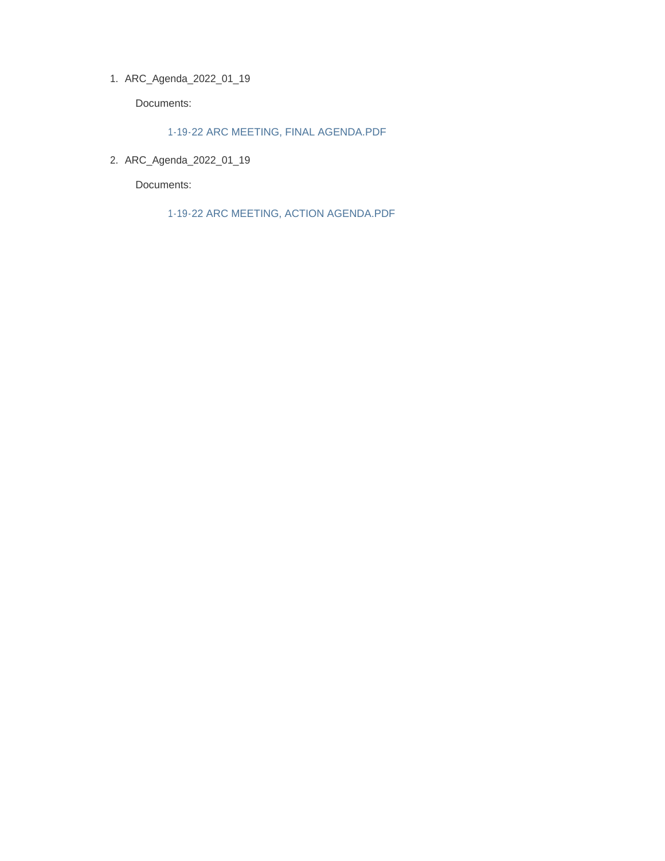ARC\_Agenda\_2022\_01\_19 1.

Documents:

1-19-22 ARC MEETING, FINAL AGENDA.PDF

ARC\_Agenda\_2022\_01\_19 2.

Documents:

1-19-22 ARC MEETING, ACTION AGENDA.PDF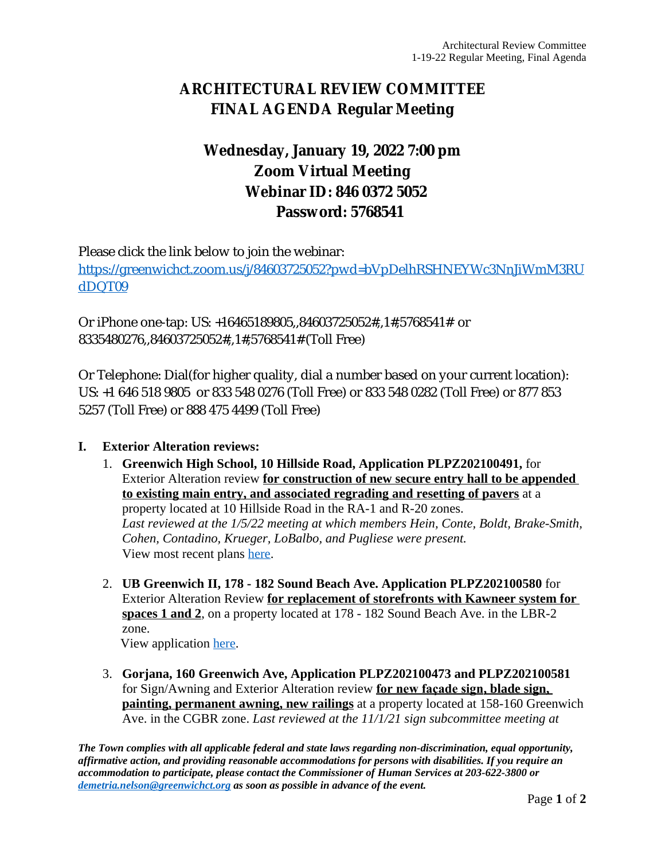# **ARCHITECTURAL REVIEW COMMITTEE FINAL AGENDA Regular Meeting**

## **Wednesday, January 19, 2022 7:00 pm Zoom Virtual Meeting Webinar ID: 846 0372 5052 Password: 5768541**

Please click the link below to join the webinar:

[https://greenwichct.zoom.us/j/84603725052?pwd=bVpDelhRSHNEYWc3NnJiWmM3RU](https://greenwichct.zoom.us/j/84603725052?pwd=bVpDelhRSHNEYWc3NnJiWmM3RUdDQT09) dDQT09

Or iPhone one-tap: US: +16465189805,,84603725052#,,1#,5768541# or 8335480276,,84603725052#,,1#,5768541# (Toll Free)

Or Telephone: Dial(for higher quality, dial a number based on your current location): US: +1 646 518 9805 or 833 548 0276 (Toll Free) or 833 548 0282 (Toll Free) or 877 853 5257 (Toll Free) or 888 475 4499 (Toll Free)

## **I. Exterior Alteration reviews:**

- 1. **Greenwich High School, 10 Hillside Road, Application PLPZ202100491,** for Exterior Alteration review **for construction of new secure entry hall to be appended to existing main entry, and associated regrading and resetting of pavers** at a property located at 10 Hillside Road in the RA-1 and R-20 zones. *Last reviewed at the 1/5/22 meeting at which members Hein, Conte, Boldt, Brake-Smith, Cohen, Contadino, Krueger, LoBalbo, and Pugliese were present.* View most recent plans [here](https://www.greenwichct.gov/DocumentCenter/View/27179/GHS-10-Hillside-updated-submittal-for-1-5-22-meeting).
- 2. **UB Greenwich II, 178 182 Sound Beach Ave. Application PLPZ202100580** for Exterior Alteration Review **for replacement of storefronts with Kawneer system for spaces 1 and 2**, on a property located at 178 - 182 Sound Beach Ave. in the LBR-2 zone.

View application [here.](https://www.greenwichct.gov/DocumentCenter/View/27493/178---182-SBA-exterior-PLPZ202100580)

3. **Gorjana, 160 Greenwich Ave, Application PLPZ202100473 and PLPZ202100581** for Sign/Awning and Exterior Alteration review **for new façade sign, blade sign, painting, permanent awning, new railings** at a property located at 158-160 Greenwich Ave. in the CGBR zone. *Last reviewed at the 11/1/21 sign subcommittee meeting at*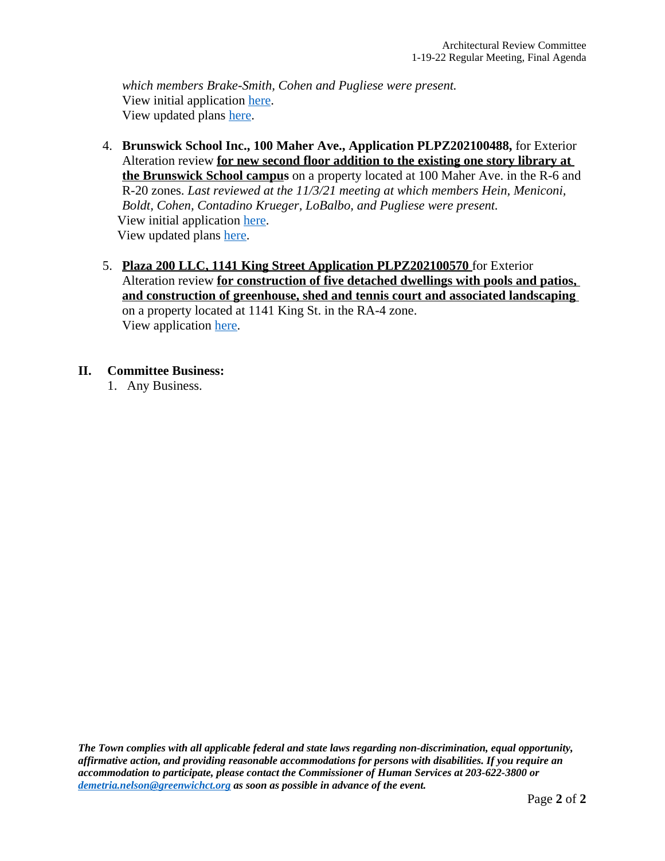*which members Brake-Smith, Cohen and Pugliese were present.* View initial application [here](https://www.greenwichct.gov/DocumentCenter/View/25436/Gorjana-160-Greenwich-Ave-PLPZ202100473). View updated plans [here](https://www.greenwichct.gov/DocumentCenter/View/27496/Gorjana-160-Greenwich-Ave-PLPZ202100581).

- 4. **Brunswick School Inc., 100 Maher Ave., Application PLPZ202100488,** for Exterior Alteration review **for new second floor addition to the existing one story library at the Brunswick School campus** on a property located at 100 Maher Ave. in the R-6 and R-20 zones. *Last reviewed at the 11/3/21 meeting at which members Hein, Meniconi, Boldt, Cohen, Contadino Krueger, LoBalbo, and Pugliese were present.*  View initial application [here.](https://www.greenwichct.gov/DocumentCenter/View/25809/Brunswich-School-PLPZ202100488-library-addition) View updated plans [here.](https://www.greenwichct.gov/DocumentCenter/View/27495/21020_Brunswick_SK_ARC_FINAL)
- 5. **Plaza 200 LLC, 1141 King Street Application PLPZ202100570** for Exterior Alteration review **for construction of five detached dwellings with pools and patios, and construction of greenhouse, shed and tennis court and associated landscaping**  on a property located at 1141 King St. in the RA-4 zone. View application [here](https://www.greenwichct.gov/DocumentCenter/View/27494/1141-King-St-PLPZ202100570-ARC-EA).

## **II. Committee Business:**

1. Any Business.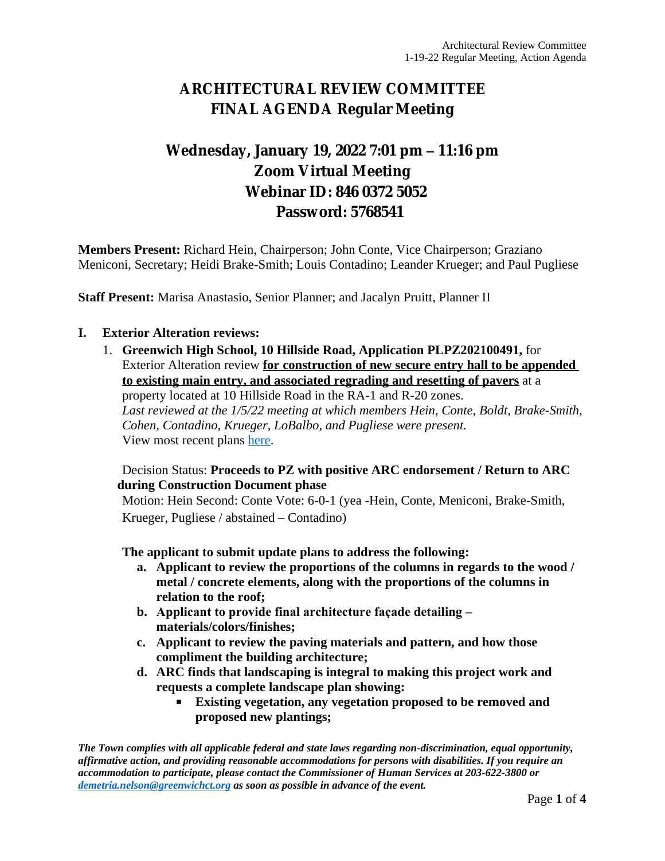## **ARCHITECTURAL REVIEW COMMITTEE FINAL AGENDA Regular Meeting**

# **Wednesday, January 19, 2022 7:01 pm – 11:16 pm Zoom Virtual Meeting Webinar ID: 846 0372 5052 Password: 5768541**

**Members Present:** Richard Hein, Chairperson; John Conte, Vice Chairperson; Graziano Meniconi, Secretary; Heidi Brake-Smith; Louis Contadino; Leander Krueger; and Paul Pugliese

**Staff Present:** Marisa Anastasio, Senior Planner; and Jacalyn Pruitt, Planner II

### **I. Exterior Alteration reviews:**

1. **Greenwich High School, 10 Hillside Road, Application PLPZ202100491,** for Exterior Alteration review **for construction of new secure entry hall to be appended to existing main entry, and associated regrading and resetting of pavers** at a property located at 10 Hillside Road in the RA-1 and R-20 zones. *Last reviewed at the 1/5/22 meeting at which members Hein, Conte, Boldt, Brake-Smith, Cohen, Contadino, Krueger, LoBalbo, and Pugliese were present.* View most recent plans [here](https://www.greenwichct.gov/DocumentCenter/View/27179/GHS-10-Hillside-updated-submittal-for-1-5-22-meeting).

### Decision Status: **Proceeds to PZ with positive ARC endorsement / Return to ARC during Construction Document phase**

Motion: Hein Second: Conte Vote: 6-0-1 (yea -Hein, Conte, Meniconi, Brake-Smith, Krueger, Pugliese / abstained – Contadino)

**The applicant to submit update plans to address the following:**

- **a. Applicant to review the proportions of the columns in regards to the wood / metal / concrete elements, along with the proportions of the columns in relation to the roof;**
- **b. Applicant to provide final architecture façade detailing – materials/colors/finishes;**
- **c. Applicant to review the paving materials and pattern, and how those compliment the building architecture;**
- **d. ARC finds that landscaping is integral to making this project work and requests a complete landscape plan showing:**
	- **Existing vegetation, any vegetation proposed to be removed and proposed new plantings;**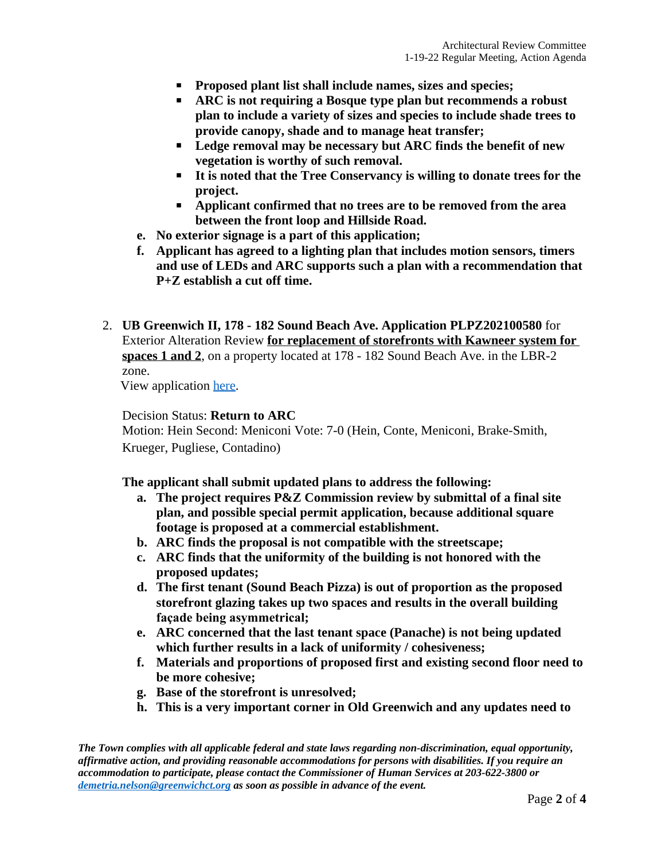- **Proposed plant list shall include names, sizes and species;**
- **ARC is not requiring a Bosque type plan but recommends a robust plan to include a variety of sizes and species to include shade trees to provide canopy, shade and to manage heat transfer;**
- **Ledge removal may be necessary but ARC finds the benefit of new vegetation is worthy of such removal.**
- **It is noted that the Tree Conservancy is willing to donate trees for the project.**
- **Applicant confirmed that no trees are to be removed from the area between the front loop and Hillside Road.**
- **e. No exterior signage is a part of this application;**
- **f. Applicant has agreed to a lighting plan that includes motion sensors, timers and use of LEDs and ARC supports such a plan with a recommendation that P+Z establish a cut off time.**
- 2. **UB Greenwich II, 178 182 Sound Beach Ave. Application PLPZ202100580** for Exterior Alteration Review **for replacement of storefronts with Kawneer system for spaces 1 and 2**, on a property located at 178 - 182 Sound Beach Ave. in the LBR-2 zone.

View application [here.](https://www.greenwichct.gov/DocumentCenter/View/27493/178---182-SBA-exterior-PLPZ202100580)

### Decision Status: **Return to ARC**

Motion: Hein Second: Meniconi Vote: 7-0 (Hein, Conte, Meniconi, Brake-Smith, Krueger, Pugliese, Contadino)

**The applicant shall submit updated plans to address the following:**

- **a. The project requires P&Z Commission review by submittal of a final site plan, and possible special permit application, because additional square footage is proposed at a commercial establishment.**
- **b. ARC finds the proposal is not compatible with the streetscape;**
- **c. ARC finds that the uniformity of the building is not honored with the proposed updates;**
- **d. The first tenant (Sound Beach Pizza) is out of proportion as the proposed storefront glazing takes up two spaces and results in the overall building façade being asymmetrical;**
- **e. ARC concerned that the last tenant space (Panache) is not being updated which further results in a lack of uniformity / cohesiveness;**
- **f. Materials and proportions of proposed first and existing second floor need to be more cohesive;**
- **g. Base of the storefront is unresolved;**
- **h. This is a very important corner in Old Greenwich and any updates need to**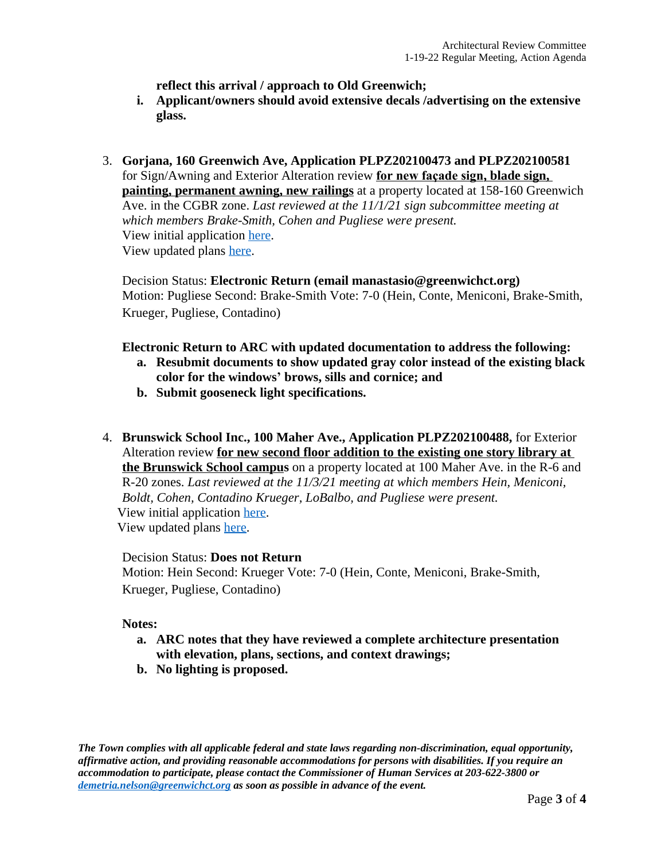**reflect this arrival / approach to Old Greenwich;**

- **i. Applicant/owners should avoid extensive decals /advertising on the extensive glass.**
- 3. **Gorjana, 160 Greenwich Ave, Application PLPZ202100473 and PLPZ202100581** for Sign/Awning and Exterior Alteration review **for new façade sign, blade sign, painting, permanent awning, new railings** at a property located at 158-160 Greenwich Ave. in the CGBR zone. *Last reviewed at the 11/1/21 sign subcommittee meeting at which members Brake-Smith, Cohen and Pugliese were present.* View initial application [here](https://www.greenwichct.gov/DocumentCenter/View/25436/Gorjana-160-Greenwich-Ave-PLPZ202100473). View updated plans [here](https://www.greenwichct.gov/DocumentCenter/View/27496/Gorjana-160-Greenwich-Ave-PLPZ202100581).

Decision Status: **Electronic Return (email manastasio@greenwichct.org)** Motion: Pugliese Second: Brake-Smith Vote: 7-0 (Hein, Conte, Meniconi, Brake-Smith, Krueger, Pugliese, Contadino)

### **Electronic Return to ARC with updated documentation to address the following:**

- **a. Resubmit documents to show updated gray color instead of the existing black color for the windows' brows, sills and cornice; and**
- **b. Submit gooseneck light specifications.**
- 4. **Brunswick School Inc., 100 Maher Ave., Application PLPZ202100488,** for Exterior Alteration review **for new second floor addition to the existing one story library at the Brunswick School campus** on a property located at 100 Maher Ave. in the R-6 and R-20 zones. *Last reviewed at the 11/3/21 meeting at which members Hein, Meniconi, Boldt, Cohen, Contadino Krueger, LoBalbo, and Pugliese were present.*  View initial application [here.](https://www.greenwichct.gov/DocumentCenter/View/25809/Brunswich-School-PLPZ202100488-library-addition) View updated plans [here.](https://www.greenwichct.gov/DocumentCenter/View/27495/21020_Brunswick_SK_ARC_FINAL)

#### Decision Status: **Does not Return**

Motion: Hein Second: Krueger Vote: 7-0 (Hein, Conte, Meniconi, Brake-Smith, Krueger, Pugliese, Contadino)

#### **Notes:**

- **a. ARC notes that they have reviewed a complete architecture presentation with elevation, plans, sections, and context drawings;**
- **b. No lighting is proposed.**